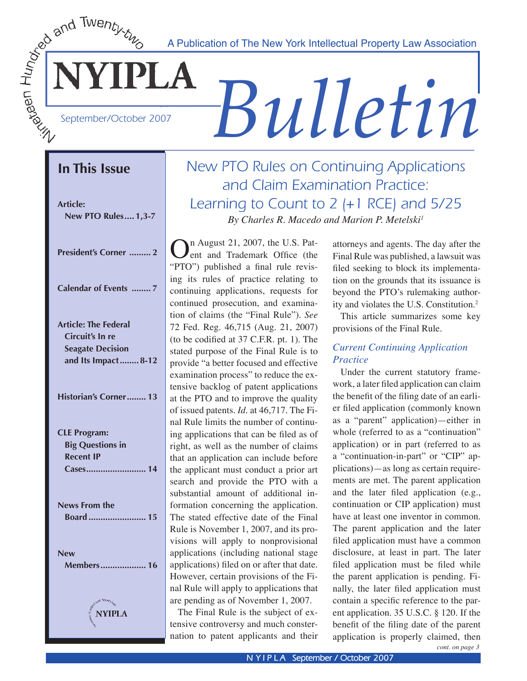A Publication of The New York Intellectual Property Law Association

September/October 2007

**NYIPLA** 

# *Bulletin*

# **In This Issue**

**Article: New PTO Rules .... 1,3-7**

| <b>President's Corner  2</b> |  |
|------------------------------|--|
|                              |  |

| <b>Calendar of Events 7</b> |  |  |  |  |
|-----------------------------|--|--|--|--|
|-----------------------------|--|--|--|--|

| News From the |  |
|---------------|--|
|               |  |
|               |  |

**New Members ................... 16**



# New PTO Rules on Continuing Applications and Claim Examination Practice: Learning to Count to 2 (+1 RCE) and 5/25 *By Charles R. Macedo and Marion P. Metelski1*

 $\sum_{\text{ent}}$  and Trademark Office (the "CTC"), until that a field rule and the space "PTO") published a final rule revising its rules of practice relating to continuing applications, requests for continued prosecution, and examination of claims (the "Final Rule"). *See*  72 Fed. Reg. 46,715 (Aug. 21, 2007) (to be codified at 37 C.F.R. pt. 1). The stated purpose of the Final Rule is to provide "a better focused and effective examination process" to reduce the extensive backlog of patent applications at the PTO and to improve the quality of issued patents. *Id.* at 46,717. The Final Rule limits the number of continuing applications that can be filed as of right, as well as the number of claims that an application can include before the applicant must conduct a prior art search and provide the PTO with a substantial amount of additional information concerning the application. The stated effective date of the Final Rule is November 1, 2007, and its provisions will apply to nonprovisional applications (including national stage applications) filed on or after that date. However, certain provisions of the Final Rule will apply to applications that are pending as of November 1, 2007.

The Final Rule is the subject of extensive controversy and much consternation to patent applicants and their

attorneys and agents. The day after the Final Rule was published, a lawsuit was filed seeking to block its implementation on the grounds that its issuance is beyond the PTO's rulemaking authority and violates the U.S. Constitution.2

This article summarizes some key provisions of the Final Rule.

### *Current Continuing Application Practice*

Under the current statutory framework, a later filed application can claim the benefit of the filing date of an earlier filed application (commonly known as a "parent" application)—either in whole (referred to as a "continuation" application) or in part (referred to as a "continuation-in-part" or "CIP" applications)—as long as certain requirements are met. The parent application and the later filed application (e.g., continuation or CIP application) must have at least one inventor in common. The parent application and the later filed application must have a common disclosure, at least in part. The later filed application must be filed while the parent application is pending. Finally, the later filed application must contain a specific reference to the parent application. 35 U.S.C. § 120. If the benefit of the filing date of the parent application is properly claimed, then

*cont. on page 3*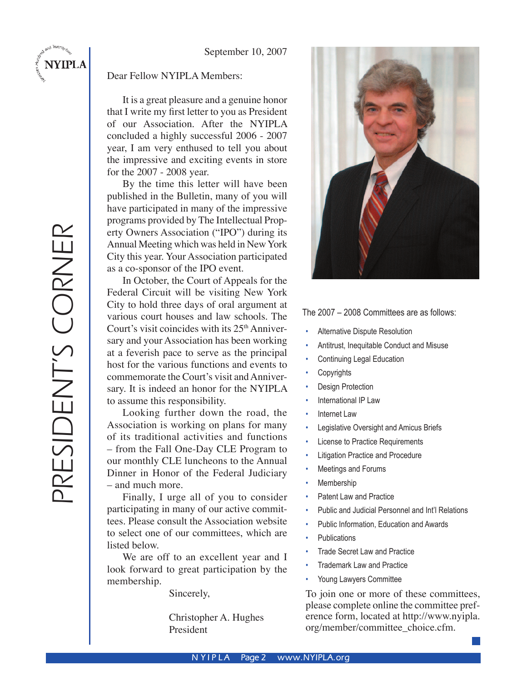### Dear Fellow NYIPLA Members:

 It is a great pleasure and a genuine honor that I write my first letter to you as President of our Association. After the NYIPLA concluded a highly successful 2006 - 2007 year, I am very enthused to tell you about the impressive and exciting events in store for the 2007 - 2008 year.

 By the time this letter will have been published in the Bulletin, many of you will have participated in many of the impressive programs provided by The Intellectual Property Owners Association ("IPO") during its Annual Meeting which was held in New York City this year. Your Association participated as a co-sponsor of the IPO event.

 In October, the Court of Appeals for the Federal Circuit will be visiting New York City to hold three days of oral argument at various court houses and law schools. The Court's visit coincides with its  $25<sup>th</sup>$  Anniversary and your Association has been working at a feverish pace to serve as the principal host for the various functions and events to commemorate the Court's visit and Anniversary. It is indeed an honor for the NYIPLA to assume this responsibility.

 Looking further down the road, the Association is working on plans for many of its traditional activities and functions – from the Fall One-Day CLE Program to our monthly CLE luncheons to the Annual Dinner in Honor of the Federal Judiciary – and much more.

 Finally, I urge all of you to consider participating in many of our active committees. Please consult the Association website to select one of our committees, which are listed below.

We are off to an excellent year and I look forward to great participation by the membership.

Sincerely,

 Christopher A. Hughes President



### The 2007 – 2008 Committees are as follows:

- Alternative Dispute Resolution
- Antitrust, Inequitable Conduct and Misuse
- Continuing Legal Education
- **Copyrights**
- Design Protection
- International IP Law
- Internet Law
- Legislative Oversight and Amicus Briefs
- **License to Practice Requirements**
- Litigation Practice and Procedure
- Meetings and Forums
- **Membership**
- Patent Law and Practice
- Public and Judicial Personnel and Int'l Relations
- Public Information, Education and Awards
- **Publications**
- **Trade Secret Law and Practice**
- Trademark Law and Practice
- Young Lawyers Committee

To join one or more of these committees, please complete online the committee preference form, located at http://www.nyipla. org/member/committee\_choice.cfm.

**NYIPLA**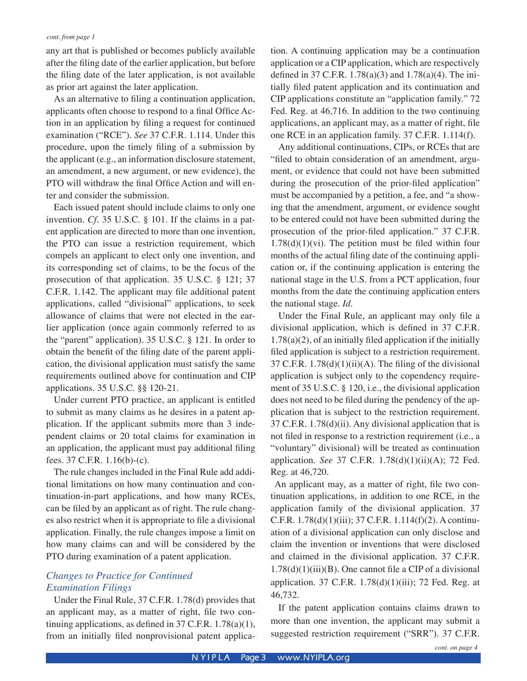any art that is published or becomes publicly available after the filing date of the earlier application, but before the filing date of the later application, is not available as prior art against the later application.

As an alternative to filing a continuation application, applicants often choose to respond to a final Office Action in an application by filing a request for continued examination ("RCE"). *See* 37 C.F.R. 1.114. Under this procedure, upon the timely filing of a submission by the applicant (e.g., an information disclosure statement, an amendment, a new argument, or new evidence), the PTO will withdraw the final Office Action and will enter and consider the submission.

Each issued patent should include claims to only one invention. *Cf.* 35 U.S.C. § 101. If the claims in a patent application are directed to more than one invention, the PTO can issue a restriction requirement, which compels an applicant to elect only one invention, and its corresponding set of claims, to be the focus of the prosecution of that application. 35 U.S.C. § 121; 37 C.F.R. 1.142. The applicant may file additional patent applications, called "divisional" applications, to seek allowance of claims that were not elected in the earlier application (once again commonly referred to as the "parent" application). 35 U.S.C. § 121. In order to obtain the benefit of the filing date of the parent application, the divisional application must satisfy the same requirements outlined above for continuation and CIP applications. 35 U.S.C. §§ 120-21.

Under current PTO practice, an applicant is entitled to submit as many claims as he desires in a patent application. If the applicant submits more than 3 independent claims or 20 total claims for examination in an application, the applicant must pay additional filing fees. 37 C.F.R. 1.16(b)-(c).

The rule changes included in the Final Rule add additional limitations on how many continuation and continuation-in-part applications, and how many RCEs, can be filed by an applicant as of right. The rule changes also restrict when it is appropriate to file a divisional application. Finally, the rule changes impose a limit on how many claims can and will be considered by the PTO during examination of a patent application.

### *Changes to Practice for Continued Examination Filings*

Under the Final Rule, 37 C.F.R. 1.78(d) provides that an applicant may, as a matter of right, file two continuing applications, as defined in 37 C.F.R. 1.78(a)(1), from an initially filed nonprovisional patent application. A continuing application may be a continuation application or a CIP application, which are respectively defined in 37 C.F.R. 1.78(a)(3) and 1.78(a)(4). The initially filed patent application and its continuation and CIP applications constitute an "application family." 72 Fed. Reg. at 46,716. In addition to the two continuing applications, an applicant may, as a matter of right, file one RCE in an application family. 37 C.F.R. 1.114(f).

Any additional continuations, CIPs, or RCEs that are "filed to obtain consideration of an amendment, argument, or evidence that could not have been submitted during the prosecution of the prior-filed application" must be accompanied by a petition, a fee, and "a showing that the amendment, argument, or evidence sought to be entered could not have been submitted during the prosecution of the prior-filed application." 37 C.F.R.  $1.78(d)(1)(vi)$ . The petition must be filed within four months of the actual filing date of the continuing application or, if the continuing application is entering the national stage in the U.S. from a PCT application, four months from the date the continuing application enters the national stage. *Id.*

Under the Final Rule, an applicant may only file a divisional application, which is defined in 37 C.F.R. 1.78(a)(2), of an initially filed application if the initially filed application is subject to a restriction requirement. 37 C.F.R.  $1.78(d)(1)(ii)(A)$ . The filing of the divisional application is subject only to the copendency requirement of 35 U.S.C. § 120, i.e., the divisional application does not need to be filed during the pendency of the application that is subject to the restriction requirement. 37 C.F.R. 1.78(d)(ii). Any divisional application that is not filed in response to a restriction requirement (i.e., a "voluntary" divisional) will be treated as continuation application. *See* 37 C.F.R. 1.78(d)(1)(ii)(A); 72 Fed. Reg. at 46,720.

An applicant may, as a matter of right, file two continuation applications, in addition to one RCE, in the application family of the divisional application. 37 C.F.R. 1.78(d)(1)(iii); 37 C.F.R. 1.114(f)(2). A continuation of a divisional application can only disclose and claim the invention or inventions that were disclosed and claimed in the divisional application. 37 C.F.R.  $1.78(d)(1)(iii)(B)$ . One cannot file a CIP of a divisional application. 37 C.F.R. 1.78(d)(1)(iii); 72 Fed. Reg. at 46,732.

If the patent application contains claims drawn to more than one invention, the applicant may submit a suggested restriction requirement ("SRR"). 37 C.F.R.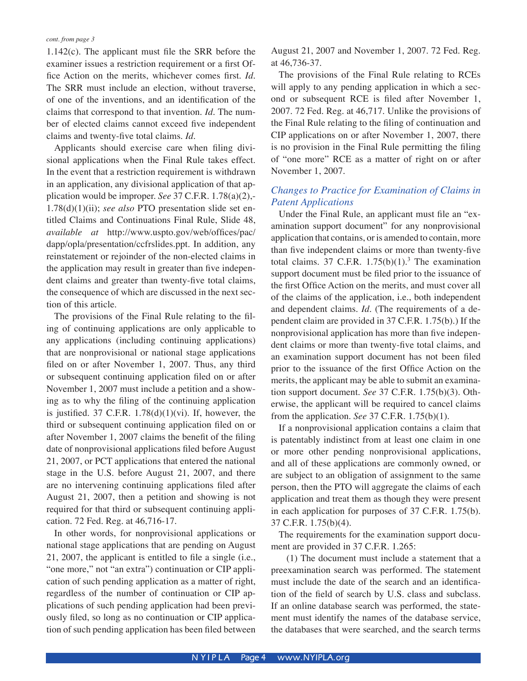1.142(c). The applicant must file the SRR before the examiner issues a restriction requirement or a first Office Action on the merits, whichever comes first. *Id.* The SRR must include an election, without traverse, of one of the inventions, and an identification of the claims that correspond to that invention. *Id.* The number of elected claims cannot exceed five independent claims and twenty-five total claims. *Id.*

Applicants should exercise care when filing divisional applications when the Final Rule takes effect. In the event that a restriction requirement is withdrawn in an application, any divisional application of that application would be improper. *See* 37 C.F.R. 1.78(a)(2),- 1.78(d)(1)(ii); *see also* PTO presentation slide set entitled Claims and Continuations Final Rule, Slide 48, *available at* http://www.uspto.gov/web/offices/pac/ dapp/opla/presentation/ccfrslides.ppt. In addition, any reinstatement or rejoinder of the non-elected claims in the application may result in greater than five independent claims and greater than twenty-five total claims, the consequence of which are discussed in the next section of this article.

The provisions of the Final Rule relating to the filing of continuing applications are only applicable to any applications (including continuing applications) that are nonprovisional or national stage applications filed on or after November 1, 2007. Thus, any third or subsequent continuing application filed on or after November 1, 2007 must include a petition and a showing as to why the filing of the continuing application is justified. 37 C.F.R.  $1.78(d)(1)(vi)$ . If, however, the third or subsequent continuing application filed on or after November 1, 2007 claims the benefit of the filing date of nonprovisional applications filed before August 21, 2007, or PCT applications that entered the national stage in the U.S. before August 21, 2007, and there are no intervening continuing applications filed after August 21, 2007, then a petition and showing is not required for that third or subsequent continuing application. 72 Fed. Reg. at 46,716-17.

In other words, for nonprovisional applications or national stage applications that are pending on August 21, 2007, the applicant is entitled to file a single (i.e., "one more," not "an extra") continuation or CIP application of such pending application as a matter of right, regardless of the number of continuation or CIP applications of such pending application had been previously filed, so long as no continuation or CIP application of such pending application has been filed between August 21, 2007 and November 1, 2007. 72 Fed. Reg. at 46,736-37.

The provisions of the Final Rule relating to RCEs will apply to any pending application in which a second or subsequent RCE is filed after November 1, 2007. 72 Fed. Reg. at 46,717. Unlike the provisions of the Final Rule relating to the filing of continuation and CIP applications on or after November 1, 2007, there is no provision in the Final Rule permitting the filing of "one more" RCE as a matter of right on or after November 1, 2007.

### *Changes to Practice for Examination of Claims in Patent Applications*

Under the Final Rule, an applicant must file an "examination support document" for any nonprovisional application that contains, or is amended to contain, more than five independent claims or more than twenty-five total claims. 37 C.F.R.  $1.75(b)(1).<sup>3</sup>$  The examination support document must be filed prior to the issuance of the first Office Action on the merits, and must cover all of the claims of the application, i.e., both independent and dependent claims. *Id.* (The requirements of a dependent claim are provided in 37 C.F.R. 1.75(b).) If the nonprovisional application has more than five independent claims or more than twenty-five total claims, and an examination support document has not been filed prior to the issuance of the first Office Action on the merits, the applicant may be able to submit an examination support document. *See* 37 C.F.R. 1.75(b)(3). Otherwise, the applicant will be required to cancel claims from the application. *See* 37 C.F.R. 1.75(b)(1).

If a nonprovisional application contains a claim that is patentably indistinct from at least one claim in one or more other pending nonprovisional applications, and all of these applications are commonly owned, or are subject to an obligation of assignment to the same person, then the PTO will aggregate the claims of each application and treat them as though they were present in each application for purposes of 37 C.F.R. 1.75(b). 37 C.F.R. 1.75(b)(4).

The requirements for the examination support document are provided in 37 C.F.R. 1.265:

(1) The document must include a statement that a preexamination search was performed. The statement must include the date of the search and an identification of the field of search by U.S. class and subclass. If an online database search was performed, the statement must identify the names of the database service, the databases that were searched, and the search terms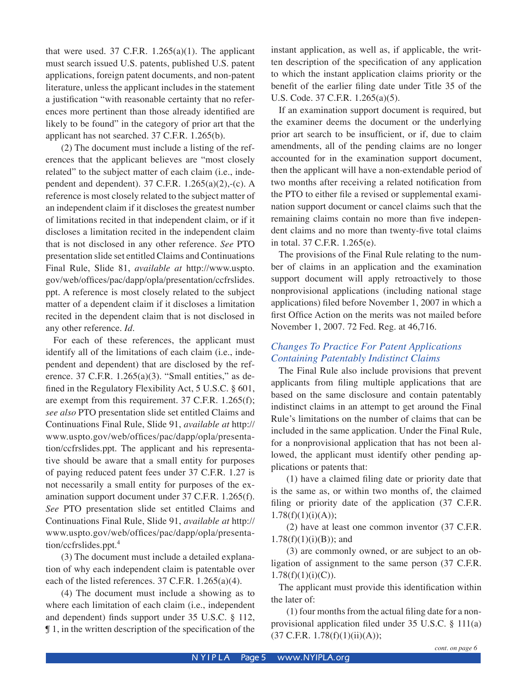that were used. 37 C.F.R.  $1.265(a)(1)$ . The applicant must search issued U.S. patents, published U.S. patent applications, foreign patent documents, and non-patent literature, unless the applicant includes in the statement a justification "with reasonable certainty that no references more pertinent than those already identified are likely to be found" in the category of prior art that the applicant has not searched. 37 C.F.R. 1.265(b).

(2) The document must include a listing of the references that the applicant believes are "most closely related" to the subject matter of each claim (i.e., independent and dependent). 37 C.F.R.  $1.265(a)(2)$ ,-(c). A reference is most closely related to the subject matter of an independent claim if it discloses the greatest number of limitations recited in that independent claim, or if it discloses a limitation recited in the independent claim that is not disclosed in any other reference. *See* PTO presentation slide set entitled Claims and Continuations Final Rule, Slide 81, *available at* http://www.uspto. gov/web/offices/pac/dapp/opla/presentation/ccfrslides. ppt. A reference is most closely related to the subject matter of a dependent claim if it discloses a limitation recited in the dependent claim that is not disclosed in any other reference. *Id.* 

For each of these references, the applicant must identify all of the limitations of each claim (i.e., independent and dependent) that are disclosed by the reference. 37 C.F.R.  $1.265(a)(3)$ . "Small entities," as defined in the Regulatory Flexibility Act, 5 U.S.C. § 601, are exempt from this requirement. 37 C.F.R. 1.265(f); *see also* PTO presentation slide set entitled Claims and Continuations Final Rule, Slide 91, *available at* http:// www.uspto.gov/web/offices/pac/dapp/opla/presentation/ccfrslides.ppt. The applicant and his representative should be aware that a small entity for purposes of paying reduced patent fees under 37 C.F.R. 1.27 is not necessarily a small entity for purposes of the examination support document under 37 C.F.R. 1.265(f). *See* PTO presentation slide set entitled Claims and Continuations Final Rule, Slide 91, *available at* http:// www.uspto.gov/web/offices/pac/dapp/opla/presentation/ccfrslides.ppt.<sup>4</sup>

(3) The document must include a detailed explanation of why each independent claim is patentable over each of the listed references.  $37$  C.F.R.  $1.265(a)(4)$ .

(4) The document must include a showing as to where each limitation of each claim (i.e., independent and dependent) finds support under 35 U.S.C. § 112, ¶ 1, in the written description of the specification of the instant application, as well as, if applicable, the written description of the specification of any application to which the instant application claims priority or the benefit of the earlier filing date under Title 35 of the U.S. Code. 37 C.F.R. 1.265(a)(5).

If an examination support document is required, but the examiner deems the document or the underlying prior art search to be insufficient, or if, due to claim amendments, all of the pending claims are no longer accounted for in the examination support document, then the applicant will have a non-extendable period of two months after receiving a related notification from the PTO to either file a revised or supplemental examination support document or cancel claims such that the remaining claims contain no more than five independent claims and no more than twenty-five total claims in total. 37 C.F.R. 1.265(e).

The provisions of the Final Rule relating to the number of claims in an application and the examination support document will apply retroactively to those nonprovisional applications (including national stage applications) filed before November 1, 2007 in which a first Office Action on the merits was not mailed before November 1, 2007. 72 Fed. Reg. at 46,716.

### *Changes To Practice For Patent Applications Containing Patentably Indistinct Claims*

The Final Rule also include provisions that prevent applicants from filing multiple applications that are based on the same disclosure and contain patentably indistinct claims in an attempt to get around the Final Rule's limitations on the number of claims that can be included in the same application. Under the Final Rule, for a nonprovisional application that has not been allowed, the applicant must identify other pending applications or patents that:

(1) have a claimed filing date or priority date that is the same as, or within two months of, the claimed filing or priority date of the application (37 C.F.R.  $1.78(f)(1)(i)(A));$ 

(2) have at least one common inventor (37 C.F.R.  $1.78(f)(1)(i)(B)$ ; and

(3) are commonly owned, or are subject to an obligation of assignment to the same person (37 C.F.R.  $1.78(f)(1)(i)(C)$ .

The applicant must provide this identification within the later of:

(1) four months from the actual filing date for a nonprovisional application filed under 35 U.S.C. § 111(a)  $(37 \text{ C.F.R. } 1.78(f)(1)(ii)(A));$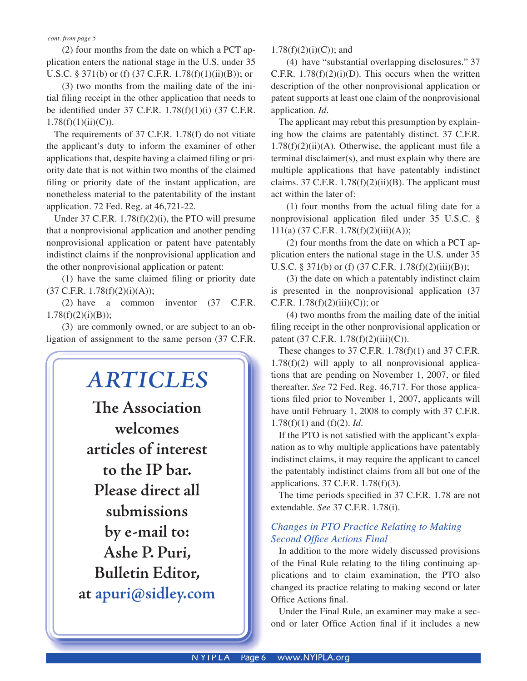(2) four months from the date on which a PCT application enters the national stage in the U.S. under 35 U.S.C. § 371(b) or (f) (37 C.F.R. 1.78(f)(1)(ii)(B)); or

(3) two months from the mailing date of the initial filing receipt in the other application that needs to be identified under 37 C.F.R.  $1.78(f)(1)(i)$  (37 C.F.R.  $1.78(f)(1)(ii)(C)$ ).

The requirements of 37 C.F.R. 1.78(f) do not vitiate the applicant's duty to inform the examiner of other applications that, despite having a claimed filing or priority date that is not within two months of the claimed filing or priority date of the instant application, are nonetheless material to the patentability of the instant application. 72 Fed. Reg. at 46,721-22.

Under 37 C.F.R.  $1.78(f)(2)(i)$ , the PTO will presume that a nonprovisional application and another pending nonprovisional application or patent have patentably indistinct claims if the nonprovisional application and the other nonprovisional application or patent:

 $(1)$  have the same claimed filing or priority date  $(37 \text{ C.F.R. } 1.78 \text{ (f)}(2) \text{ (i)}(A));$ 

(2) have a common inventor (37 C.F.R.  $1.78(f)(2)(i)(B);$ 

(3) are commonly owned, or are subject to an obligation of assignment to the same person (37 C.F.R.



 $1.78(f)(2)(i)(C)$ ; and

(4) have "substantial overlapping disclosures." 37 C.F.R.  $1.78(f)(2)(i)(D)$ . This occurs when the written description of the other nonprovisional application or patent supports at least one claim of the nonprovisional application. *Id.*

The applicant may rebut this presumption by explaining how the claims are patentably distinct. 37 C.F.R.  $1.78(f)(2)(ii)(A)$ . Otherwise, the applicant must file a terminal disclaimer(s), and must explain why there are multiple applications that have patentably indistinct claims. 37 C.F.R.  $1.78(f)(2)(ii)(B)$ . The applicant must act within the later of:

 $(1)$  four months from the actual filing date for a nonprovisional application filed under  $35 \text{ U.S.C. }$ § 111(a) (37 C.F.R. 1.78(f)(2)(iii)(A));

(2) four months from the date on which a PCT application enters the national stage in the U.S. under 35 U.S.C. § 371(b) or (f) (37 C.F.R. 1.78(f)(2)(iii)(B));

(3) the date on which a patentably indistinct claim is presented in the nonprovisional application (37 C.F.R.  $1.78(f)(2)(iii)(C)$ ; or

(4) two months from the mailing date of the initial filing receipt in the other nonprovisional application or patent (37 C.F.R. 1.78 $(f)(2)(iii)(C)$ ).

These changes to 37 C.F.R. 1.78(f)(1) and 37 C.F.R.  $1.78(f)(2)$  will apply to all nonprovisional applications that are pending on November 1, 2007, or filed thereafter. *See* 72 Fed. Reg. 46,717. For those applications filed prior to November 1, 2007, applicants will have until February 1, 2008 to comply with 37 C.F.R. 1.78(f)(1) and (f)(2). *Id.*

If the PTO is not satisfied with the applicant's explanation as to why multiple applications have patentably indistinct claims, it may require the applicant to cancel the patentably indistinct claims from all but one of the applications. 37 C.F.R. 1.78(f)(3).

The time periods specified in 37 C.F.R. 1.78 are not extendable. *See* 37 C.F.R. 1.78(i).

### *Changes in PTO Practice Relating to Making*  **Second Office Actions Final**

In addition to the more widely discussed provisions of the Final Rule relating to the filing continuing applications and to claim examination, the PTO also changed its practice relating to making second or later Office Actions final.

Under the Final Rule, an examiner may make a second or later Office Action final if it includes a new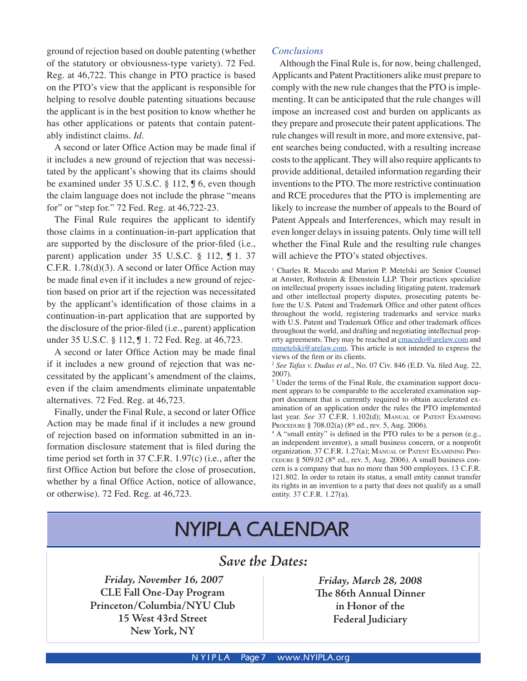ground of rejection based on double patenting (whether of the statutory or obviousness-type variety). 72 Fed. Reg. at 46,722. This change in PTO practice is based on the PTO's view that the applicant is responsible for helping to resolve double patenting situations because the applicant is in the best position to know whether he has other applications or patents that contain patentably indistinct claims. *Id.* 

A second or later Office Action may be made final if it includes a new ground of rejection that was necessitated by the applicant's showing that its claims should be examined under 35 U.S.C. § 112, ¶ 6, even though the claim language does not include the phrase "means for" or "step for." 72 Fed. Reg. at 46,722-23.

The Final Rule requires the applicant to identify those claims in a continuation-in-part application that are supported by the disclosure of the prior-filed (i.e., parent) application under 35 U.S.C. § 112, ¶ 1. 37 C.F.R. 1.78(d)(3). A second or later Office Action may be made final even if it includes a new ground of rejection based on prior art if the rejection was necessitated by the applicant's identification of those claims in a continuation-in-part application that are supported by the disclosure of the prior-filed (i.e., parent) application under 35 U.S.C. § 112, ¶ 1. 72 Fed. Reg. at 46,723.

A second or later Office Action may be made final if it includes a new ground of rejection that was necessitated by the applicant's amendment of the claims, even if the claim amendments eliminate unpatentable alternatives. 72 Fed. Reg. at 46,723.

Finally, under the Final Rule, a second or later Office Action may be made final if it includes a new ground of rejection based on information submitted in an information disclosure statement that is filed during the time period set forth in 37 C.F.R. 1.97(c) (i.e., after the first Office Action but before the close of prosecution, whether by a final Office Action, notice of allowance, or otherwise). 72 Fed. Reg. at 46,723.

### *Conclusions*

Although the Final Rule is, for now, being challenged, Applicants and Patent Practitioners alike must prepare to comply with the new rule changes that the PTO is implementing. It can be anticipated that the rule changes will impose an increased cost and burden on applicants as they prepare and prosecute their patent applications. The rule changes will result in more, and more extensive, patent searches being conducted, with a resulting increase costs to the applicant. They will also require applicants to provide additional, detailed information regarding their inventions to the PTO. The more restrictive continuation and RCE procedures that the PTO is implementing are likely to increase the number of appeals to the Board of Patent Appeals and Interferences, which may result in even longer delays in issuing patents. Only time will tell whether the Final Rule and the resulting rule changes will achieve the PTO's stated objectives.

<sup>1</sup> Charles R. Macedo and Marion P. Metelski are Senior Counsel at Amster, Rothstein & Ebenstein LLP. Their practices specialize on intellectual property issues including litigating patent, trademark and other intellectual property disputes, prosecuting patents before the U.S. Patent and Trademark Office and other patent offices throughout the world, registering trademarks and service marks with U.S. Patent and Trademark Office and other trademark offices throughout the world, and drafting and negotiating intellectual property agreements. They may be reached at cmacedo@arelaw.com and mmetelski@arelaw.com. This article is not intended to express the views of the firm or its clients.

<sup>2</sup> *See Tafas v. Dudas et al.*, No. 07 Civ. 846 (E.D. Va. filed Aug. 22, 2007).

<sup>3</sup> Under the terms of the Final Rule, the examination support document appears to be comparable to the accelerated examination support document that is currently required to obtain accelerated examination of an application under the rules the PTO implemented last year. *See* 37 C.F.R. 1.102(d); MANUAL OF PATENT EXAMINING PROCEDURE § 708.02(a) (8<sup>th</sup> ed., rev. 5, Aug. 2006).

<sup>4</sup> A "small entity" is defined in the PTO rules to be a person (e.g., an independent inventor), a small business concern, or a nonprofit organization. 37 C.F.R. 1.27(a); MANUAL OF PATENT EXAMINING PRO-CEDURE § 509.02 ( $8<sup>th</sup>$  ed., rev. 5, Aug. 2006). A small business concern is a company that has no more than 500 employees. 13 C.F.R. 121.802. In order to retain its status, a small entity cannot transfer its rights in an invention to a party that does not qualify as a small entity. 37 C.F.R. 1.27(a).

# **NYIPLA CALENDAR**

### *Save the Dates:*

*Friday, November 16, 2007* **CLE Fall One-Day Program Princeton/Columbia/NYU Club 15 West 43rd Street New York, NY**

*Friday, March 28, 2008* **The 86th Annual Dinner in Honor of the Federal Judiciary**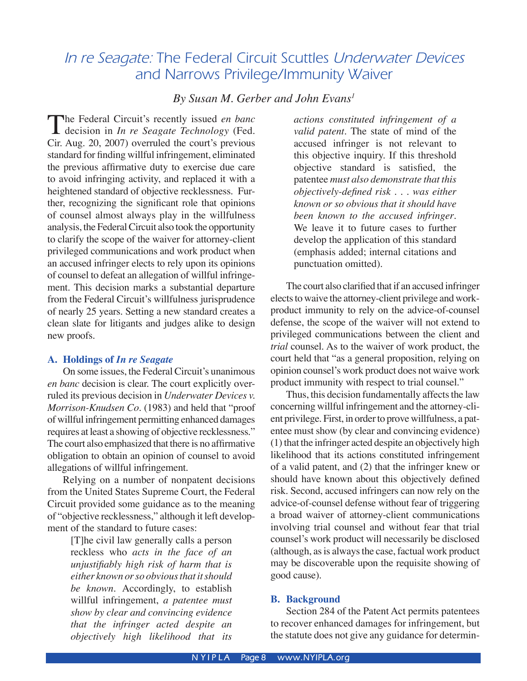# *In re Seagate:* The Federal Circuit Scuttles *Underwater Devices* and Narrows Privilege/Immunity Waiver

### *By Susan M. Gerber and John Evans1*

The Federal Circuit's recently issued *en banc*<br>decision in *In re Seagate Technology* (Fed.<br>Gir Aug 20, 2007) overvuled the court's provisus Cir. Aug. 20, 2007) overruled the court's previous standard for finding willful infringement, eliminated the previous affirmative duty to exercise due care to avoid infringing activity, and replaced it with a heightened standard of objective recklessness. Further, recognizing the significant role that opinions of counsel almost always play in the willfulness analysis, the Federal Circuit also took the opportunity to clarify the scope of the waiver for attorney-client privileged communications and work product when an accused infringer elects to rely upon its opinions of counsel to defeat an allegation of willful infringement. This decision marks a substantial departure from the Federal Circuit's willfulness jurisprudence of nearly 25 years. Setting a new standard creates a clean slate for litigants and judges alike to design new proofs.

### **A. Holdings of** *In re Seagate*

 On some issues, the Federal Circuit's unanimous *en banc* decision is clear. The court explicitly overruled its previous decision in *Underwater Devices v. Morrison-Knudsen Co.* (1983) and held that "proof of willful infringement permitting enhanced damages requires at least a showing of objective recklessness." The court also emphasized that there is no affirmative obligation to obtain an opinion of counsel to avoid allegations of willful infringement.

 Relying on a number of nonpatent decisions from the United States Supreme Court, the Federal Circuit provided some guidance as to the meaning of "objective recklessness," although it left development of the standard to future cases:

> [T]he civil law generally calls a person reckless who *acts in the face of an unjustifiably high risk of harm that is either known or so obvious that it should be known.* Accordingly, to establish willful infringement, *a patentee must show by clear and convincing evidence that the infringer acted despite an objectively high likelihood that its*

*actions constituted infringement of a valid patent*. The state of mind of the accused infringer is not relevant to this objective inquiry. If this threshold objective standard is satisfied, the patentee *must also demonstrate that this objectively-defined risk . . . was either known or so obvious that it should have been known to the accused infringer*. We leave it to future cases to further develop the application of this standard (emphasis added; internal citations and punctuation omitted).

The court also clarified that if an accused infringer elects to waive the attorney-client privilege and workproduct immunity to rely on the advice-of-counsel defense, the scope of the waiver will not extend to privileged communications between the client and *trial* counsel. As to the waiver of work product, the court held that "as a general proposition, relying on opinion counsel's work product does not waive work product immunity with respect to trial counsel."

 Thus, this decision fundamentally affects the law concerning willful infringement and the attorney-client privilege. First, in order to prove willfulness, a patentee must show (by clear and convincing evidence) (1) that the infringer acted despite an objectively high likelihood that its actions constituted infringement of a valid patent, and (2) that the infringer knew or should have known about this objectively defined risk. Second, accused infringers can now rely on the advice-of-counsel defense without fear of triggering a broad waiver of attorney-client communications involving trial counsel and without fear that trial counsel's work product will necessarily be disclosed (although, as is always the case, factual work product may be discoverable upon the requisite showing of good cause).

### **B. Background**

 Section 284 of the Patent Act permits patentees to recover enhanced damages for infringement, but the statute does not give any guidance for determin-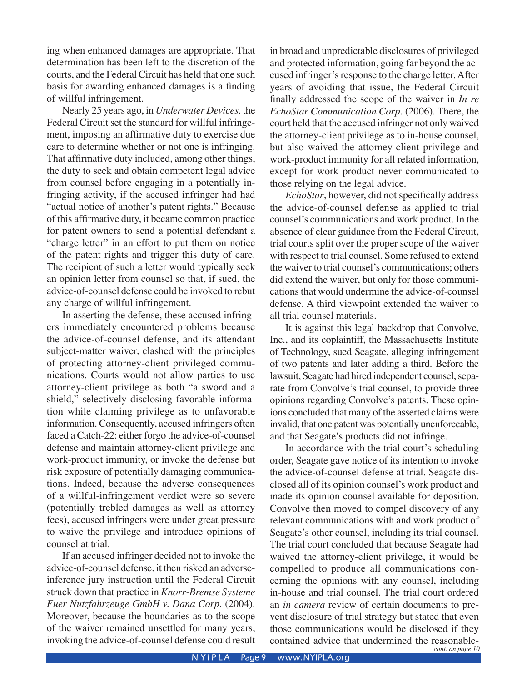ing when enhanced damages are appropriate. That determination has been left to the discretion of the courts, and the Federal Circuit has held that one such basis for awarding enhanced damages is a finding of willful infringement.

Nearly 25 years ago, in *Underwater Devices,* the Federal Circuit set the standard for willful infringement, imposing an affirmative duty to exercise due care to determine whether or not one is infringing. That affirmative duty included, among other things, the duty to seek and obtain competent legal advice from counsel before engaging in a potentially infringing activity, if the accused infringer had had "actual notice of another's patent rights." Because of this affirmative duty, it became common practice for patent owners to send a potential defendant a "charge letter" in an effort to put them on notice of the patent rights and trigger this duty of care. The recipient of such a letter would typically seek an opinion letter from counsel so that, if sued, the advice-of-counsel defense could be invoked to rebut any charge of willful infringement.

 In asserting the defense, these accused infringers immediately encountered problems because the advice-of-counsel defense, and its attendant subject-matter waiver, clashed with the principles of protecting attorney-client privileged communications. Courts would not allow parties to use attorney-client privilege as both "a sword and a shield," selectively disclosing favorable information while claiming privilege as to unfavorable information. Consequently, accused infringers often faced a Catch-22: either forgo the advice-of-counsel defense and maintain attorney-client privilege and work-product immunity, or invoke the defense but risk exposure of potentially damaging communications. Indeed, because the adverse consequences of a willful-infringement verdict were so severe (potentially trebled damages as well as attorney fees), accused infringers were under great pressure to waive the privilege and introduce opinions of counsel at trial.

 If an accused infringer decided not to invoke the advice-of-counsel defense, it then risked an adverseinference jury instruction until the Federal Circuit struck down that practice in *Knorr-Bremse Systeme Fuer Nutzfahrzeuge GmbH v. Dana Corp.* (2004). Moreover, because the boundaries as to the scope of the waiver remained unsettled for many years, invoking the advice-of-counsel defense could result

in broad and unpredictable disclosures of privileged and protected information, going far beyond the accused infringer's response to the charge letter. After years of avoiding that issue, the Federal Circuit finally addressed the scope of the waiver in *In re EchoStar Communication Corp.* (2006). There, the court held that the accused infringer not only waived the attorney-client privilege as to in-house counsel, but also waived the attorney-client privilege and work-product immunity for all related information, except for work product never communicated to those relying on the legal advice.

 *EchoStar*, however, did not specifically address the advice-of-counsel defense as applied to trial counsel's communications and work product. In the absence of clear guidance from the Federal Circuit, trial courts split over the proper scope of the waiver with respect to trial counsel. Some refused to extend the waiver to trial counsel's communications; others did extend the waiver, but only for those communications that would undermine the advice-of-counsel defense. A third viewpoint extended the waiver to all trial counsel materials.

 It is against this legal backdrop that Convolve, Inc., and its coplaintiff, the Massachusetts Institute of Technology, sued Seagate, alleging infringement of two patents and later adding a third. Before the lawsuit, Seagate had hired independent counsel, separate from Convolve's trial counsel, to provide three opinions regarding Convolve's patents. These opinions concluded that many of the asserted claims were invalid, that one patent was potentially unenforceable, and that Seagate's products did not infringe.

 In accordance with the trial court's scheduling order, Seagate gave notice of its intention to invoke the advice-of-counsel defense at trial. Seagate disclosed all of its opinion counsel's work product and made its opinion counsel available for deposition. Convolve then moved to compel discovery of any relevant communications with and work product of Seagate's other counsel, including its trial counsel. The trial court concluded that because Seagate had waived the attorney-client privilege, it would be compelled to produce all communications concerning the opinions with any counsel, including in-house and trial counsel. The trial court ordered an *in camera* review of certain documents to prevent disclosure of trial strategy but stated that even those communications would be disclosed if they contained advice that undermined the reasonable- *cont. on page 10*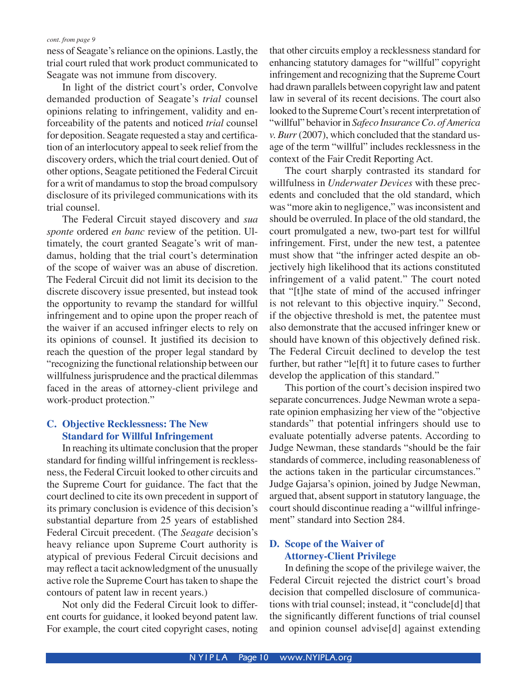ness of Seagate's reliance on the opinions. Lastly, the trial court ruled that work product communicated to Seagate was not immune from discovery.

 In light of the district court's order, Convolve demanded production of Seagate's *trial* counsel opinions relating to infringement, validity and enforceability of the patents and noticed *trial* counsel for deposition. Seagate requested a stay and certification of an interlocutory appeal to seek relief from the discovery orders, which the trial court denied. Out of other options, Seagate petitioned the Federal Circuit for a writ of mandamus to stop the broad compulsory disclosure of its privileged communications with its trial counsel.

 The Federal Circuit stayed discovery and *sua sponte* ordered *en banc* review of the petition. Ultimately, the court granted Seagate's writ of mandamus, holding that the trial court's determination of the scope of waiver was an abuse of discretion. The Federal Circuit did not limit its decision to the discrete discovery issue presented, but instead took the opportunity to revamp the standard for willful infringement and to opine upon the proper reach of the waiver if an accused infringer elects to rely on its opinions of counsel. It justified its decision to reach the question of the proper legal standard by "recognizing the functional relationship between our willfulness jurisprudence and the practical dilemmas faced in the areas of attorney-client privilege and work-product protection."

### **C. Objective Recklessness: The New Standard for Willful Infringement**

 In reaching its ultimate conclusion that the proper standard for finding willful infringement is recklessness, the Federal Circuit looked to other circuits and the Supreme Court for guidance. The fact that the court declined to cite its own precedent in support of its primary conclusion is evidence of this decision's substantial departure from 25 years of established Federal Circuit precedent. (The *Seagate* decision's heavy reliance upon Supreme Court authority is atypical of previous Federal Circuit decisions and may reflect a tacit acknowledgment of the unusually active role the Supreme Court has taken to shape the contours of patent law in recent years.)

 Not only did the Federal Circuit look to different courts for guidance, it looked beyond patent law. For example, the court cited copyright cases, noting that other circuits employ a recklessness standard for enhancing statutory damages for "willful" copyright infringement and recognizing that the Supreme Court had drawn parallels between copyright law and patent law in several of its recent decisions. The court also looked to the Supreme Court's recent interpretation of "willful" behavior in *Safeco Insurance Co. of America v. Burr* (2007), which concluded that the standard usage of the term "willful" includes recklessness in the context of the Fair Credit Reporting Act.

 The court sharply contrasted its standard for willfulness in *Underwater Devices* with these precedents and concluded that the old standard, which was "more akin to negligence," was inconsistent and should be overruled. In place of the old standard, the court promulgated a new, two-part test for willful infringement. First, under the new test, a patentee must show that "the infringer acted despite an objectively high likelihood that its actions constituted infringement of a valid patent." The court noted that "[t]he state of mind of the accused infringer is not relevant to this objective inquiry." Second, if the objective threshold is met, the patentee must also demonstrate that the accused infringer knew or should have known of this objectively defined risk. The Federal Circuit declined to develop the test further, but rather "le[ft] it to future cases to further develop the application of this standard."

 This portion of the court's decision inspired two separate concurrences. Judge Newman wrote a separate opinion emphasizing her view of the "objective standards" that potential infringers should use to evaluate potentially adverse patents. According to Judge Newman, these standards "should be the fair standards of commerce, including reasonableness of the actions taken in the particular circumstances." Judge Gajarsa's opinion, joined by Judge Newman, argued that, absent support in statutory language, the court should discontinue reading a "willful infringement" standard into Section 284.

### **D. Scope of the Waiver of Attorney-Client Privilege**

 In defining the scope of the privilege waiver, the Federal Circuit rejected the district court's broad decision that compelled disclosure of communications with trial counsel; instead, it "conclude[d] that the significantly different functions of trial counsel and opinion counsel advise[d] against extending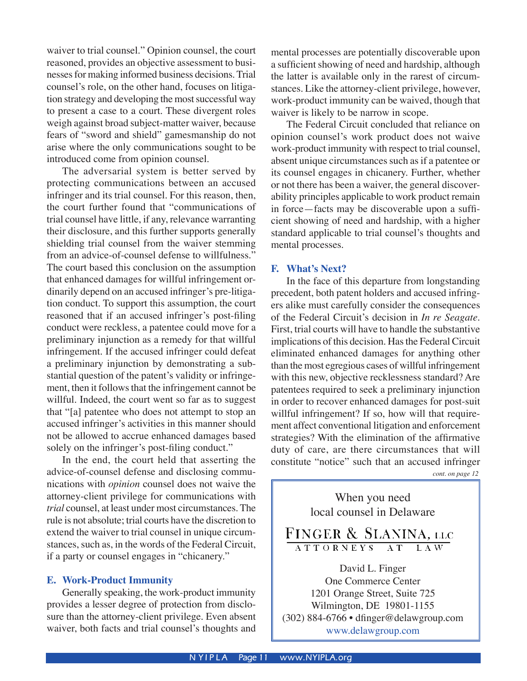waiver to trial counsel." Opinion counsel, the court reasoned, provides an objective assessment to businesses for making informed business decisions. Trial counsel's role, on the other hand, focuses on litigation strategy and developing the most successful way to present a case to a court. These divergent roles weigh against broad subject-matter waiver, because fears of "sword and shield" gamesmanship do not arise where the only communications sought to be introduced come from opinion counsel.

 The adversarial system is better served by protecting communications between an accused infringer and its trial counsel. For this reason, then, the court further found that "communications of trial counsel have little, if any, relevance warranting their disclosure, and this further supports generally shielding trial counsel from the waiver stemming from an advice-of-counsel defense to willfulness." The court based this conclusion on the assumption that enhanced damages for willful infringement ordinarily depend on an accused infringer's pre-litigation conduct. To support this assumption, the court reasoned that if an accused infringer's post-filing conduct were reckless, a patentee could move for a preliminary injunction as a remedy for that willful infringement. If the accused infringer could defeat a preliminary injunction by demonstrating a substantial question of the patent's validity or infringement, then it follows that the infringement cannot be willful. Indeed, the court went so far as to suggest that "[a] patentee who does not attempt to stop an accused infringer's activities in this manner should not be allowed to accrue enhanced damages based solely on the infringer's post-filing conduct."

 In the end, the court held that asserting the advice-of-counsel defense and disclosing communications with *opinion* counsel does not waive the attorney-client privilege for communications with *trial* counsel, at least under most circumstances. The rule is not absolute; trial courts have the discretion to extend the waiver to trial counsel in unique circumstances, such as, in the words of the Federal Circuit, if a party or counsel engages in "chicanery."

### **E. Work-Product Immunity**

 Generally speaking, the work-product immunity provides a lesser degree of protection from disclosure than the attorney-client privilege. Even absent waiver, both facts and trial counsel's thoughts and

mental processes are potentially discoverable upon a sufficient showing of need and hardship, although the latter is available only in the rarest of circumstances. Like the attorney-client privilege, however, work-product immunity can be waived, though that waiver is likely to be narrow in scope.

 The Federal Circuit concluded that reliance on opinion counsel's work product does not waive work-product immunity with respect to trial counsel, absent unique circumstances such as if a patentee or its counsel engages in chicanery. Further, whether or not there has been a waiver, the general discoverability principles applicable to work product remain in force—facts may be discoverable upon a sufficient showing of need and hardship, with a higher standard applicable to trial counsel's thoughts and mental processes.

### **F. What's Next?**

 In the face of this departure from longstanding precedent, both patent holders and accused infringers alike must carefully consider the consequences of the Federal Circuit's decision in *In re Seagate*. First, trial courts will have to handle the substantive implications of this decision. Has the Federal Circuit eliminated enhanced damages for anything other than the most egregious cases of willful infringement with this new, objective recklessness standard? Are patentees required to seek a preliminary injunction in order to recover enhanced damages for post-suit willful infringement? If so, how will that requirement affect conventional litigation and enforcement strategies? With the elimination of the affirmative duty of care, are there circumstances that will constitute "notice" such that an accused infringer

*cont. on page 12*

When you need local counsel in Delaware FINGER & SLANINA, LLC ATTORNEYS AT  $L$  A  $\overline{\text{W}}$ David L. Finger One Commerce Center 1201 Orange Street, Suite 725 Wilmington, DE 19801-1155 (302) 884-6766 • dfinger@delawgroup.com www.delawgroup.com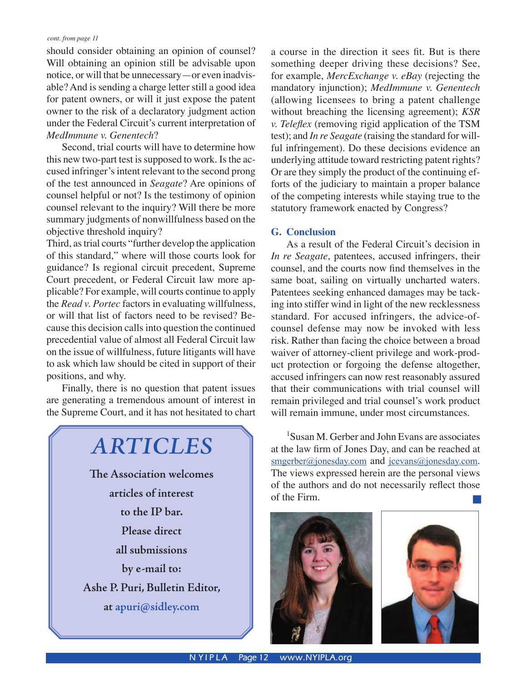should consider obtaining an opinion of counsel? Will obtaining an opinion still be advisable upon notice, or will that be unnecessary—or even inadvisable? And is sending a charge letter still a good idea for patent owners, or will it just expose the patent owner to the risk of a declaratory judgment action under the Federal Circuit's current interpretation of *MedImmune v. Genentech*?

 Second, trial courts will have to determine how this new two-part test is supposed to work. Is the accused infringer's intent relevant to the second prong of the test announced in *Seagate*? Are opinions of counsel helpful or not? Is the testimony of opinion counsel relevant to the inquiry? Will there be more summary judgments of nonwillfulness based on the objective threshold inquiry?

Third, as trial courts "further develop the application of this standard," where will those courts look for guidance? Is regional circuit precedent, Supreme Court precedent, or Federal Circuit law more applicable? For example, will courts continue to apply the *Read v. Portec* factors in evaluating willfulness, or will that list of factors need to be revised? Because this decision calls into question the continued precedential value of almost all Federal Circuit law on the issue of willfulness, future litigants will have to ask which law should be cited in support of their positions, and why.

 Finally, there is no question that patent issues are generating a tremendous amount of interest in the Supreme Court, and it has not hesitated to chart

# *ARTICLES* **The Association welcomes articles of interest to the IP bar. Please direct all submissions by e-mail to:**

**Ashe P. Puri, Bulletin Editor,** 

**at apuri@sidley.com**

a course in the direction it sees fit. But is there something deeper driving these decisions? See, for example, *MercExchange v. eBay* (rejecting the mandatory injunction); *MedImmune v. Genentech*  (allowing licensees to bring a patent challenge without breaching the licensing agreement); *KSR v. Teleflex* (removing rigid application of the TSM test); and *In re Seagate* (raising the standard for willful infringement). Do these decisions evidence an underlying attitude toward restricting patent rights? Or are they simply the product of the continuing efforts of the judiciary to maintain a proper balance of the competing interests while staying true to the statutory framework enacted by Congress?

### **G. Conclusion**

 As a result of the Federal Circuit's decision in *In re Seagate*, patentees, accused infringers, their counsel, and the courts now find themselves in the same boat, sailing on virtually uncharted waters. Patentees seeking enhanced damages may be tacking into stiffer wind in light of the new recklessness standard. For accused infringers, the advice-ofcounsel defense may now be invoked with less risk. Rather than facing the choice between a broad waiver of attorney-client privilege and work-product protection or forgoing the defense altogether, accused infringers can now rest reasonably assured that their communications with trial counsel will remain privileged and trial counsel's work product will remain immune, under most circumstances.

1 Susan M. Gerber and John Evans are associates at the law firm of Jones Day, and can be reached at smgerber@jonesday.com and jcevans@jonesday.com. The views expressed herein are the personal views of the authors and do not necessarily reflect those of the Firm.



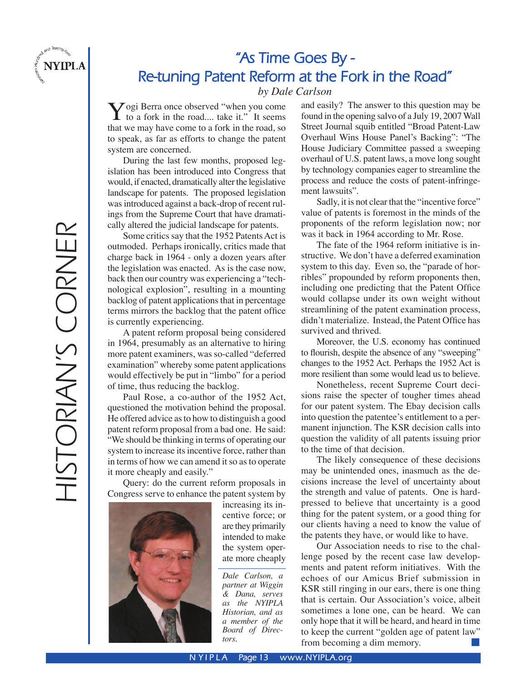

# **"As Time Goes By - Re-tuning Patent Reform at the Fork in the Road"**

*by Dale Carlson*

Vogi Berra once observed "when you come to a fork in the road.... take it." It seems that we may have come to a fork in the road, so to speak, as far as efforts to change the patent system are concerned.

During the last few months, proposed legislation has been introduced into Congress that would, if enacted, dramatically alter the legislative landscape for patents. The proposed legislation was introduced against a back-drop of recent rulings from the Supreme Court that have dramatically altered the judicial landscape for patents.

 Some critics say that the 1952 Patents Act is outmoded. Perhaps ironically, critics made that charge back in 1964 - only a dozen years after the legislation was enacted. As is the case now, back then our country was experiencing a "technological explosion", resulting in a mounting backlog of patent applications that in percentage terms mirrors the backlog that the patent office is currently experiencing.

 A patent reform proposal being considered in 1964, presumably as an alternative to hiring more patent examiners, was so-called "deferred examination" whereby some patent applications would effectively be put in "limbo" for a period of time, thus reducing the backlog.

 Paul Rose, a co-author of the 1952 Act, questioned the motivation behind the proposal. He offered advice as to how to distinguish a good patent reform proposal from a bad one. He said: "We should be thinking in terms of operating our system to increase its incentive force, rather than in terms of how we can amend it so as to operate it more cheaply and easily."

 Query: do the current reform proposals in Congress serve to enhance the patent system by



increasing its incentive force; or are they primarily intended to make the system operate more cheaply

*Dale Carlson, a partner at Wiggin & Dana, serves as the NYIPLA Historian, and as a member of the Board of Directors.*

and easily? The answer to this question may be found in the opening salvo of a July 19, 2007 Wall Street Journal squib entitled "Broad Patent-Law Overhaul Wins House Panel's Backing": "The House Judiciary Committee passed a sweeping overhaul of U.S. patent laws, a move long sought by technology companies eager to streamline the process and reduce the costs of patent-infringement lawsuits".

 Sadly, it is not clear that the "incentive force" value of patents is foremost in the minds of the proponents of the reform legislation now; nor was it back in 1964 according to Mr. Rose.

 The fate of the 1964 reform initiative is instructive. We don't have a deferred examination system to this day. Even so, the "parade of horribles" propounded by reform proponents then, including one predicting that the Patent Office would collapse under its own weight without streamlining of the patent examination process, didn't materialize. Instead, the Patent Office has survived and thrived.

 Moreover, the U.S. economy has continued to flourish, despite the absence of any "sweeping" changes to the 1952 Act. Perhaps the 1952 Act is more resilient than some would lead us to believe.

 Nonetheless, recent Supreme Court decisions raise the specter of tougher times ahead for our patent system. The Ebay decision calls into question the patentee's entitlement to a permanent injunction. The KSR decision calls into question the validity of all patents issuing prior to the time of that decision.

 The likely consequence of these decisions may be unintended ones, inasmuch as the decisions increase the level of uncertainty about the strength and value of patents. One is hardpressed to believe that uncertainty is a good thing for the patent system, or a good thing for our clients having a need to know the value of the patents they have, or would like to have.

Our Association needs to rise to the challenge posed by the recent case law developments and patent reform initiatives. With the echoes of our Amicus Brief submission in KSR still ringing in our ears, there is one thing that is certain. Our Association's voice, albeit sometimes a lone one, can be heard. We can only hope that it will be heard, and heard in time to keep the current "golden age of patent law" from becoming a dim memory.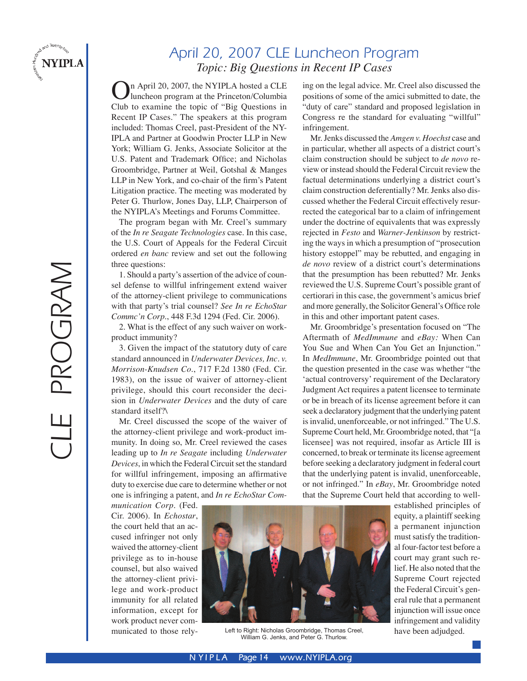

# PROGRAM CLE PROGRAM

# April 20, 2007 CLE Luncheon Program *Topic: Big Questions in Recent IP Cases*

In April 20, 2007, the NYIPLA hosted a CLE luncheon program at the Princeton/Columbia Club to examine the topic of "Big Questions in Recent IP Cases." The speakers at this program included: Thomas Creel, past-President of the NY-IPLA and Partner at Goodwin Procter LLP in New York; William G. Jenks, Associate Solicitor at the U.S. Patent and Trademark Office; and Nicholas Groombridge, Partner at Weil, Gotshal & Manges LLP in New York, and co-chair of the firm's Patent Litigation practice. The meeting was moderated by Peter G. Thurlow, Jones Day, LLP, Chairperson of the NYIPLA's Meetings and Forums Committee.

 The program began with Mr. Creel's summary of the *In re Seagate Technologies* case. In this case, the U.S. Court of Appeals for the Federal Circuit ordered *en banc* review and set out the following three questions:

1. Should a party's assertion of the advice of counsel defense to willful infringement extend waiver of the attorney-client privilege to communications with that party's trial counsel? *See In re EchoStar Commc'n Corp.*, 448 F.3d 1294 (Fed. Cir. 2006).

2. What is the effect of any such waiver on workproduct immunity?

3. Given the impact of the statutory duty of care standard announced in *Underwater Devices, Inc. v. Morrison-Knudsen Co.*, 717 F.2d 1380 (Fed. Cir. 1983), on the issue of waiver of attorney-client privilege, should this court reconsider the decision in *Underwater Devices* and the duty of care standard itself?\

Mr. Creel discussed the scope of the waiver of the attorney-client privilege and work-product immunity. In doing so, Mr. Creel reviewed the cases leading up to *In re Seagate* including *Underwater Devices*, in which the Federal Circuit set the standard for willful infringement, imposing an affirmative duty to exercise due care to determine whether or not one is infringing a patent, and *In re EchoStar Com-* ing on the legal advice. Mr. Creel also discussed the positions of some of the amici submitted to date, the "duty of care" standard and proposed legislation in Congress re the standard for evaluating "willful" infringement.

Mr. Jenks discussed the *Amgen v. Hoechst* case and in particular, whether all aspects of a district court's claim construction should be subject to *de novo* review or instead should the Federal Circuit review the factual determinations underlying a district court's claim construction deferentially? Mr. Jenks also discussed whether the Federal Circuit effectively resurrected the categorical bar to a claim of infringement under the doctrine of equivalents that was expressly rejected in *Festo* and *Warner-Jenkinson* by restricting the ways in which a presumption of "prosecution history estoppel" may be rebutted, and engaging in *de novo* review of a district court's determinations that the presumption has been rebutted? Mr. Jenks reviewed the U.S. Supreme Court's possible grant of certiorari in this case, the government's amicus brief and more generally, the Solicitor General's Office role in this and other important patent cases.

 Mr. Groombridge's presentation focused on "The Aftermath of *MedImmune* and *eBay:* When Can You Sue and When Can You Get an Injunction." In *MedImmune*, Mr. Groombridge pointed out that the question presented in the case was whether "the ʻactual controversy' requirement of the Declaratory Judgment Act requires a patent licensee to terminate or be in breach of its license agreement before it can seek a declaratory judgment that the underlying patent is invalid, unenforceable, or not infringed." The U.S. Supreme Court held, Mr. Groombridge noted, that "[a licensee] was not required, insofar as Article III is concerned, to break or terminate its license agreement before seeking a declaratory judgment in federal court that the underlying patent is invalid, unenforceable, or not infringed." In *eBay*, Mr. Groombridge noted that the Supreme Court held that according to well-

*munication Corp.* (Fed. Cir. 2006). In *Echostar*, the court held that an accused infringer not only waived the attorney-client privilege as to in-house counsel, but also waived the attorney-client privilege and work-product immunity for all related information, except for work product never communicated to those rely-



Left to Right: Nicholas Groombridge, Thomas Creel, have been adjudged.<br>William G. Jenks, and Peter G. Thurlow.

established principles of equity, a plaintiff seeking a permanent injunction must satisfy the traditional four-factor test before a court may grant such relief. He also noted that the Supreme Court rejected the Federal Circuit's general rule that a permanent injunction will issue once infringement and validity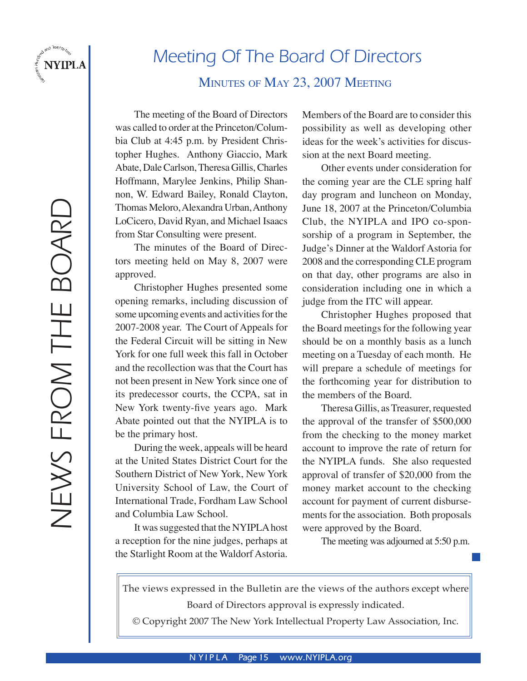

# Meeting Of The Board Of Directors

### MINUTES OF MAY 23, 2007 MEETING

The meeting of the Board of Directors was called to order at the Princeton/Columbia Club at 4:45 p.m. by President Christopher Hughes. Anthony Giaccio, Mark Abate, Dale Carlson, Theresa Gillis, Charles Hoffmann, Marylee Jenkins, Philip Shannon, W. Edward Bailey, Ronald Clayton, Thomas Meloro, Alexandra Urban, Anthony LoCicero, David Ryan, and Michael Isaacs from Star Consulting were present.

 The minutes of the Board of Directors meeting held on May 8, 2007 were approved.

 Christopher Hughes presented some opening remarks, including discussion of some upcoming events and activities for the 2007-2008 year. The Court of Appeals for the Federal Circuit will be sitting in New York for one full week this fall in October and the recollection was that the Court has not been present in New York since one of its predecessor courts, the CCPA, sat in New York twenty-five years ago. Mark Abate pointed out that the NYIPLA is to be the primary host.

 During the week, appeals will be heard at the United States District Court for the Southern District of New York, New York University School of Law, the Court of International Trade, Fordham Law School and Columbia Law School.

 It was suggested that the NYIPLA host a reception for the nine judges, perhaps at the Starlight Room at the Waldorf Astoria.

Members of the Board are to consider this possibility as well as developing other ideas for the week's activities for discussion at the next Board meeting.

 Other events under consideration for the coming year are the CLE spring half day program and luncheon on Monday, June 18, 2007 at the Princeton/Columbia Club, the NYIPLA and IPO co-sponsorship of a program in September, the Judge's Dinner at the Waldorf Astoria for 2008 and the corresponding CLE program on that day, other programs are also in consideration including one in which a judge from the ITC will appear.

 Christopher Hughes proposed that the Board meetings for the following year should be on a monthly basis as a lunch meeting on a Tuesday of each month. He will prepare a schedule of meetings for the forthcoming year for distribution to the members of the Board.

 Theresa Gillis, as Treasurer, requested the approval of the transfer of \$500,000 from the checking to the money market account to improve the rate of return for the NYIPLA funds. She also requested approval of transfer of \$20,000 from the money market account to the checking account for payment of current disbursements for the association. Both proposals were approved by the Board.

The meeting was adjourned at 5:50 p.m.

The views expressed in the Bulletin are the views of the authors except where Board of Directors approval is expressly indicated.

© Copyright 2007 The New York Intellectual Property Law Association, Inc.